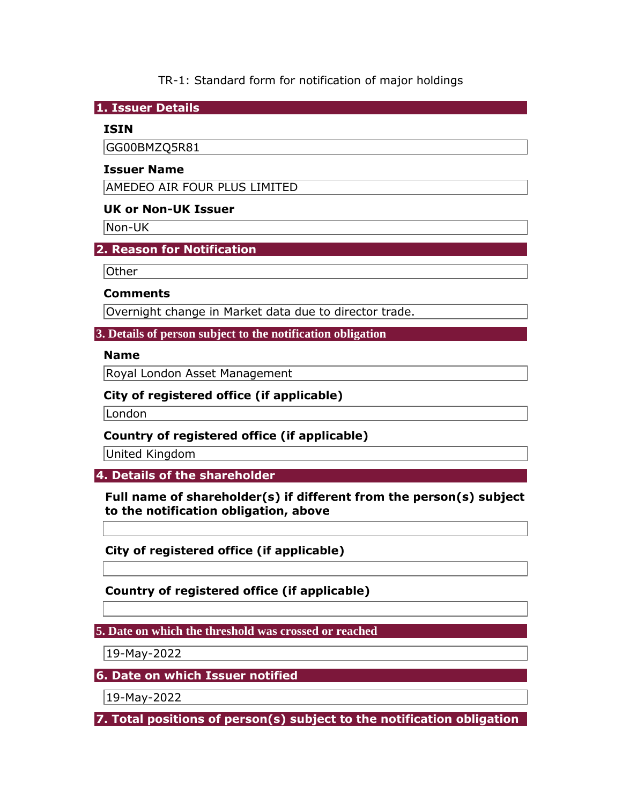TR-1: Standard form for notification of major holdings

**1. Issuer Details** 

### **ISIN**

GG00BMZQ5R81

## **Issuer Name**

AMEDEO AIR FOUR PLUS LIMITED

## **UK or Non-UK Issuer**

Non-UK

**2. Reason for Notification** 

Other

### **Comments**

Overnight change in Market data due to director trade.

**3. Details of person subject to the notification obligation** 

#### **Name**

Royal London Asset Management

### **City of registered office (if applicable)**

London

**Country of registered office (if applicable)** 

United Kingdom

**4. Details of the shareholder** 

**Full name of shareholder(s) if different from the person(s) subject to the notification obligation, above** 

**City of registered office (if applicable)** 

**Country of registered office (if applicable)** 

**5. Date on which the threshold was crossed or reached** 

19-May-2022

**6. Date on which Issuer notified** 

19-May-2022

**7. Total positions of person(s) subject to the notification obligation**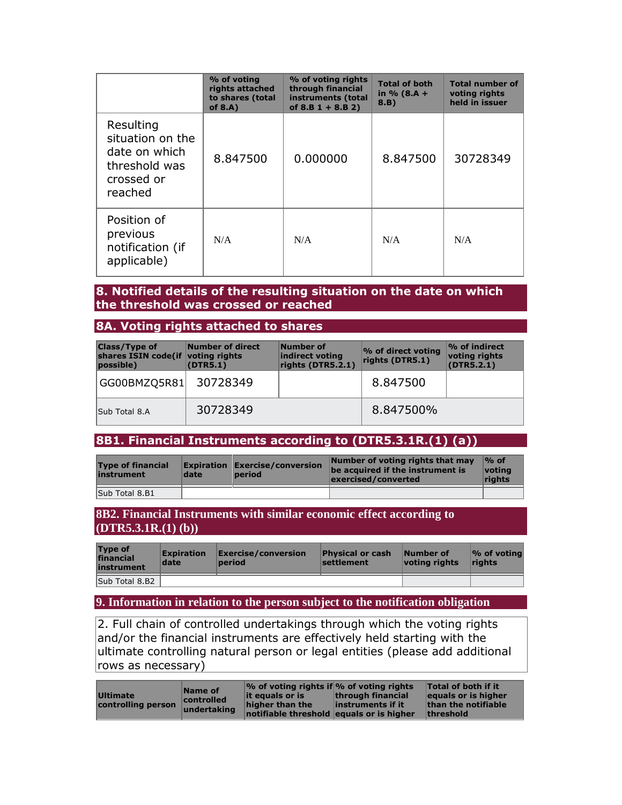|                                                                                          | % of voting<br>rights attached<br>to shares (total<br>of $8.A$ ) | % of voting rights<br>through financial<br>instruments (total<br>of $8.B 1 + 8.B 2)$ | <b>Total of both</b><br>in % $(8.A +$<br>8.B) | <b>Total number of</b><br>voting rights<br>held in issuer |
|------------------------------------------------------------------------------------------|------------------------------------------------------------------|--------------------------------------------------------------------------------------|-----------------------------------------------|-----------------------------------------------------------|
| Resulting<br>situation on the<br>date on which<br>threshold was<br>crossed or<br>reached | 8.847500                                                         | 0.000000                                                                             | 8.847500                                      | 30728349                                                  |
| Position of<br>previous<br>notification (if<br>applicable)                               | N/A                                                              | N/A                                                                                  | N/A                                           | N/A                                                       |

#### **8. Notified details of the resulting situation on the date on which the threshold was crossed or reached**

#### **8A. Voting rights attached to shares**

| <b>Class/Type of</b><br>shares ISIN code (if voting rights<br>possible) | Number of direct<br>(DTR5.1) | Number of<br>indirect voting<br>rights (DTR5.2.1) | % of direct voting<br>rights (DTR5.1) | $\sqrt{9}$ of indirect<br>voting rights<br>(DTR5.2.1) |
|-------------------------------------------------------------------------|------------------------------|---------------------------------------------------|---------------------------------------|-------------------------------------------------------|
| GG00BMZQ5R81                                                            | 30728349                     |                                                   | 8.847500                              |                                                       |
| Sub Total 8.A                                                           | 30728349                     |                                                   | 8.847500%                             |                                                       |

## **8B1. Financial Instruments according to (DTR5.3.1R.(1) (a))**

| <b>Type of financial</b><br>instrument | date | <b>Expiration Exercise/conversion</b><br>period | Number of voting rights that may<br>be acquired if the instrument is<br>exercised/converted | $\%$ of<br><u> votina</u><br>rights |
|----------------------------------------|------|-------------------------------------------------|---------------------------------------------------------------------------------------------|-------------------------------------|
| Sub Total 8.B1                         |      |                                                 |                                                                                             |                                     |

#### **8B2. Financial Instruments with similar economic effect according to (DTR5.3.1R.(1) (b))**

| <b>Type of</b><br>financial<br>instrument | <b>Expiration</b><br>date | Exercise/conversion<br>period | <b>Physical or cash</b><br>settlement | Number of<br>voting rights | $\mathcal V$ of voting<br><b>rights</b> |
|-------------------------------------------|---------------------------|-------------------------------|---------------------------------------|----------------------------|-----------------------------------------|
| Sub Total 8.B2                            |                           |                               |                                       |                            |                                         |

#### **9. Information in relation to the person subject to the notification obligation**

2. Full chain of controlled undertakings through which the voting rights and/or the financial instruments are effectively held starting with the ultimate controlling natural person or legal entities (please add additional rows as necessary)

| <b>Ultimate</b><br>controlling person | Name of<br>controlled<br>undertaking | $\%$ of voting rights if % of voting rights<br>lit equals or is | through financial | Total of both if it<br>equals or is higher |
|---------------------------------------|--------------------------------------|-----------------------------------------------------------------|-------------------|--------------------------------------------|
|                                       |                                      | higher than the                                                 | instruments if it | than the notifiable                        |
|                                       |                                      | notifiable threshold equals or is higher                        |                   | <b>threshold</b>                           |